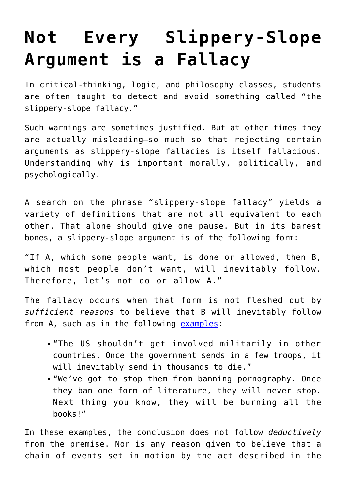## **[Not Every Slippery-Slope](https://intellectualtakeout.org/2016/03/not-every-slippery-slope-argument-is-a-fallacy/) [Argument is a Fallacy](https://intellectualtakeout.org/2016/03/not-every-slippery-slope-argument-is-a-fallacy/)**

In critical-thinking, logic, and philosophy classes, students are often taught to detect and avoid something called "the slippery-slope fallacy."

Such warnings are sometimes justified. But at other times they are actually misleading—so much so that rejecting certain arguments as slippery-slope fallacies is itself fallacious. Understanding why is important morally, politically, and psychologically.

A search on the phrase "slippery-slope fallacy" yields a variety of definitions that are not all equivalent to each other. That alone should give one pause. But in its barest bones, a slippery-slope argument is of the following form:

"If A, which some people want, is done or allowed, then B, which most people don't want, will inevitably follow. Therefore, let's not do or allow A."

The fallacy occurs when that form is not fleshed out by *sufficient reasons* to believe that B will inevitably follow from A, such as in the following [examples:](http://www.nizkor.org/features/fallacies/slippery-slope.html)

- "The US shouldn't get involved militarily in other countries. Once the government sends in a few troops, it will inevitably send in thousands to die."
- "We've got to stop them from banning pornography. Once they ban one form of literature, they will never stop. Next thing you know, they will be burning all the books!"

In these examples, the conclusion does not follow *deductively* from the premise. Nor is any reason given to believe that a chain of events set in motion by the act described in the